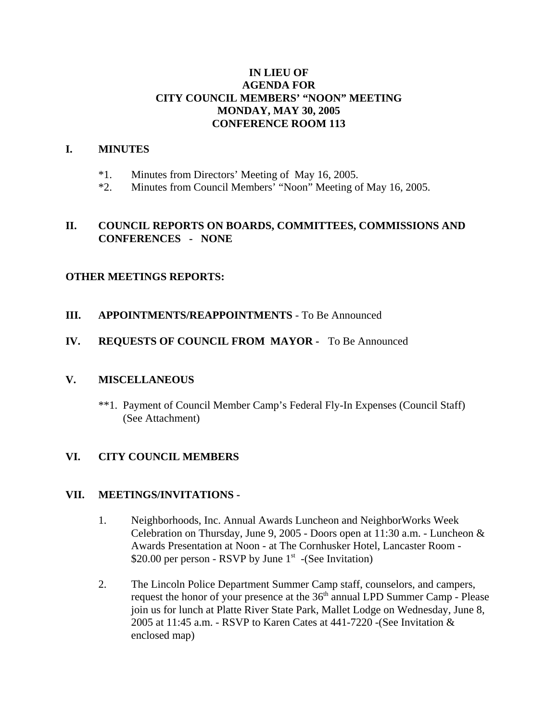## **IN LIEU OF AGENDA FOR CITY COUNCIL MEMBERS' "NOON" MEETING MONDAY, MAY 30, 2005 CONFERENCE ROOM 113**

#### **I. MINUTES**

- \*1. Minutes from Directors' Meeting of May 16, 2005.
- \*2. Minutes from Council Members' "Noon" Meeting of May 16, 2005.

### **II. COUNCIL REPORTS ON BOARDS, COMMITTEES, COMMISSIONS AND CONFERENCES - NONE**

## **OTHER MEETINGS REPORTS:**

**III. APPOINTMENTS/REAPPOINTMENTS** - To Be Announced

## **IV. REQUESTS OF COUNCIL FROM MAYOR -** To Be Announced

#### **V. MISCELLANEOUS**

\*\*1. Payment of Council Member Camp's Federal Fly-In Expenses (Council Staff) (See Attachment)

## **VI. CITY COUNCIL MEMBERS**

#### **VII. MEETINGS/INVITATIONS -**

- 1. Neighborhoods, Inc. Annual Awards Luncheon and NeighborWorks Week Celebration on Thursday, June 9, 2005 - Doors open at 11:30 a.m. - Luncheon & Awards Presentation at Noon - at The Cornhusker Hotel, Lancaster Room - \$20.00 per person - RSVP by June  $1<sup>st</sup>$  -(See Invitation)
- 2. The Lincoln Police Department Summer Camp staff, counselors, and campers, request the honor of your presence at the 36<sup>th</sup> annual LPD Summer Camp - Please join us for lunch at Platte River State Park, Mallet Lodge on Wednesday, June 8, 2005 at 11:45 a.m. - RSVP to Karen Cates at 441-7220 -(See Invitation & enclosed map)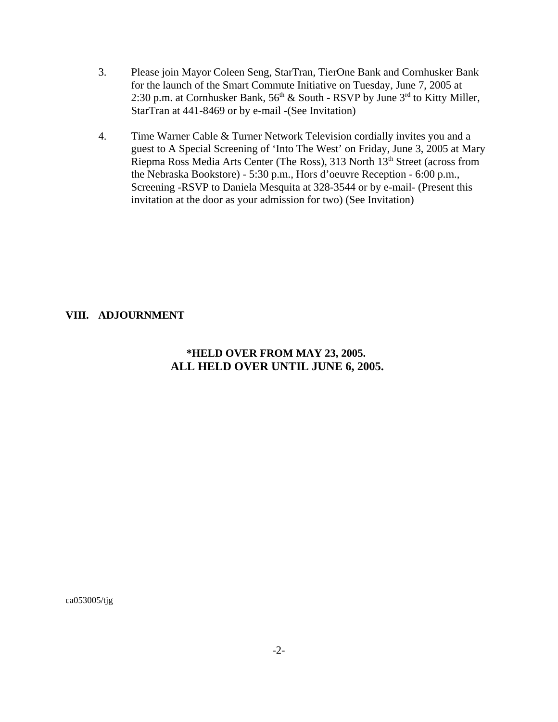- 3. Please join Mayor Coleen Seng, StarTran, TierOne Bank and Cornhusker Bank for the launch of the Smart Commute Initiative on Tuesday, June 7, 2005 at 2:30 p.m. at Cornhusker Bank,  $56<sup>th</sup>$  & South - RSVP by June  $3<sup>rd</sup>$  to Kitty Miller, StarTran at 441-8469 or by e-mail -(See Invitation)
- 4. Time Warner Cable & Turner Network Television cordially invites you and a guest to A Special Screening of 'Into The West' on Friday, June 3, 2005 at Mary Riepma Ross Media Arts Center (The Ross), 313 North 13<sup>th</sup> Street (across from the Nebraska Bookstore) - 5:30 p.m., Hors d'oeuvre Reception - 6:00 p.m., Screening -RSVP to Daniela Mesquita at 328-3544 or by e-mail- (Present this invitation at the door as your admission for two) (See Invitation)

## **VIII. ADJOURNMENT**

# **\*HELD OVER FROM MAY 23, 2005. ALL HELD OVER UNTIL JUNE 6, 2005.**

ca053005/tjg